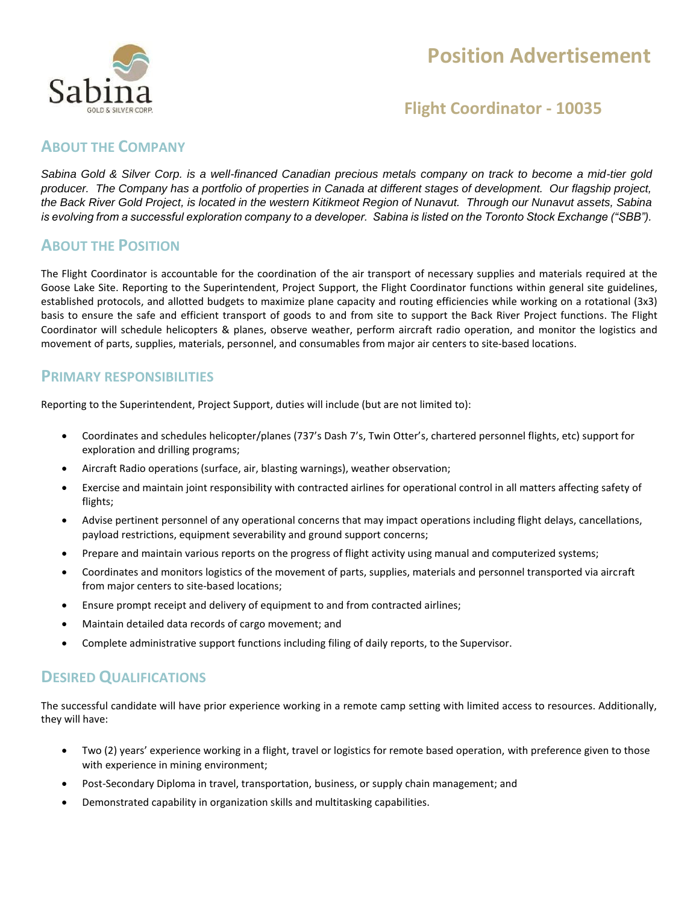

# **Position Advertisement**

## **Flight Coordinator - 10035**

### **ABOUT THE COMPANY**

*Sabina Gold & Silver Corp. is a well-financed Canadian precious metals company on track to become a mid-tier gold producer. The Company has a portfolio of properties in Canada at different stages of development. Our flagship project, the Back River Gold Project, is located in the western Kitikmeot Region of Nunavut. Through our Nunavut assets, Sabina is evolving from a successful exploration company to a developer. Sabina is listed on the Toronto Stock Exchange ("SBB").*

### **ABOUT THE POSITION**

The Flight Coordinator is accountable for the coordination of the air transport of necessary supplies and materials required at the Goose Lake Site. Reporting to the Superintendent, Project Support, the Flight Coordinator functions within general site guidelines, established protocols, and allotted budgets to maximize plane capacity and routing efficiencies while working on a rotational (3x3) basis to ensure the safe and efficient transport of goods to and from site to support the Back River Project functions. The Flight Coordinator will schedule helicopters & planes, observe weather, perform aircraft radio operation, and monitor the logistics and movement of parts, supplies, materials, personnel, and consumables from major air centers to site-based locations.

### **PRIMARY RESPONSIBILITIES**

Reporting to the Superintendent, Project Support, duties will include (but are not limited to):

- Coordinates and schedules helicopter/planes (737's Dash 7's, Twin Otter's, chartered personnel flights, etc) support for exploration and drilling programs;
- Aircraft Radio operations (surface, air, blasting warnings), weather observation;
- Exercise and maintain joint responsibility with contracted airlines for operational control in all matters affecting safety of flights;
- Advise pertinent personnel of any operational concerns that may impact operations including flight delays, cancellations, payload restrictions, equipment severability and ground support concerns;
- Prepare and maintain various reports on the progress of flight activity using manual and computerized systems;
- Coordinates and monitors logistics of the movement of parts, supplies, materials and personnel transported via aircraft from major centers to site-based locations;
- Ensure prompt receipt and delivery of equipment to and from contracted airlines;
- Maintain detailed data records of cargo movement; and
- Complete administrative support functions including filing of daily reports, to the Supervisor.

## **DESIRED QUALIFICATIONS**

The successful candidate will have prior experience working in a remote camp setting with limited access to resources. Additionally, they will have:

- Two (2) years' experience working in a flight, travel or logistics for remote based operation, with preference given to those with experience in mining environment;
- Post-Secondary Diploma in travel, transportation, business, or supply chain management; and
- Demonstrated capability in organization skills and multitasking capabilities.